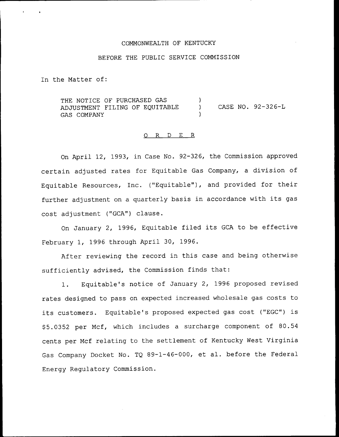#### COMMONWEALTH OF KENTUCKY

## BEFORE THE PUBLIC SERVICE COMMISSION

In the Matter of:

THE NOTICE OF PURCHASED GAS  $\lambda$ ADJUSTMENT FILING OF EQUITABLE CASE NO. 92—326-L  $\lambda$ GAS COMPANY

#### 0 R <sup>D</sup> E R

On April 12, 1993, in Case No. 92-326, the Commission approved certain adjusted rates for Equitable Gas Company, <sup>a</sup> division of Equitable Resources, Inc. ("Equitable"), and provided for their further adjustment on <sup>a</sup> quarterly basis in accordance with its gas cost adjustment ("GCA") clause.

On January 2, 1996, Equitable filed its GCA to be effective February 1, 1996 through April 30, 1996.

After reviewing the record in this case and being otherwise sufficiently advised, the Commission finds that:

1. Equitable's notice of January 2, 1996 proposed revised rates designed to pass on expected increased wholesale gas costs to its customers. Equitable's proposed expected gas cost ("EGC") is \$ 5.0352 per Mcf, which includes a surcharge component of 80.54 cents per Mcf relating to the settlement of Kentucky West Virginia Gas Company Docket No. TQ 89-1-46-000, et al. before the Federal Energy Regulatory Commission.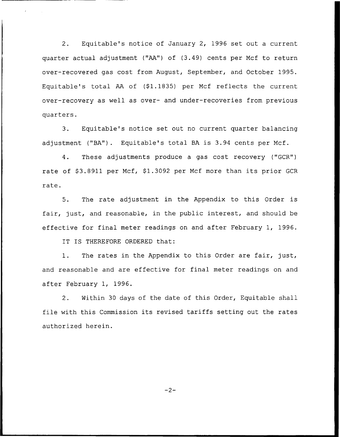Equitable's notice of January 2, 1996 set out a current  $2.$ quarter actual adjustment ("AA") of (3.49) cents per Mcf to return over-recovered gas cost from August, September, and October 1995. Equitable's total AA of (\$1.1835) per Mcf reflects the current over-recovery as well as over- and under-recoveries from previous quarters.

3. Equitable's notice set out no current quarter balancing adjustment ("BA"). Equitable's total BA is 3.94 cents per Mcf.

4. These adjustments produce a gas cost recovery ("GCR") rate of \$3.8911 per Mcf, \$1.3092 per Mcf more than its prior GCR rate.

5. The rate adjustment in the Appendix to this Order is fair, just, and reasonable, in the public interest, and should be effective for final meter readings on and after February 1, 1996.

IT IS THEREFORE ORDERED that:

1. The rates in the Appendix to this Order are fair, just, and reasonable and are effective for final meter readings on and after February 1, 1996.

2. Within 30 days of the date of this Order, Equitable shall file with this Commission its revised tariffs setting out the rates authorized herein.

 $-2-$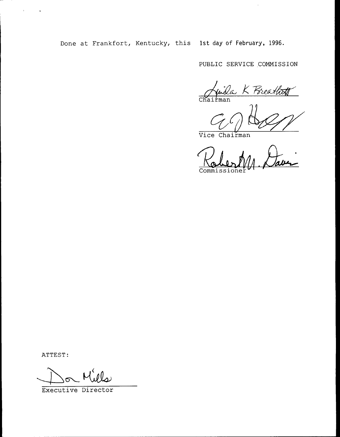Done at Frankfort, Kentucky, this 1st day of February, 1996.

PUBLIC SERVICE COMMISSION

 $\cdot$ 

Juila K Preathoff

Vice Chairman

Commissioner

ATTEST:

 $\bar{\lambda}$ 

 $\ddot{\phantom{1}}$ 

Executive Director